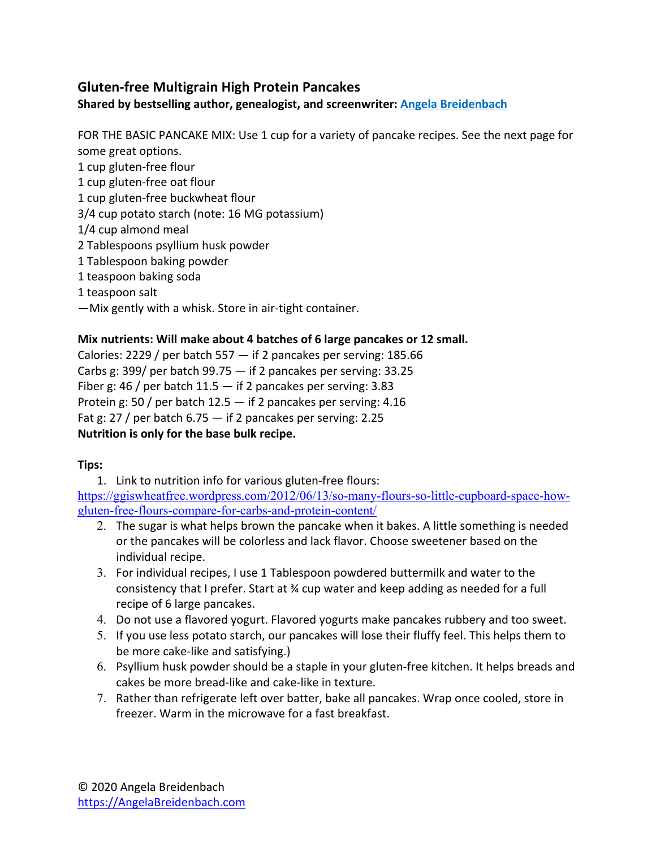## **Gluten-free Multigrain High Protein Pancakes**

**Shared by bestselling author, genealogist, and screenwriter: Angela Breidenbach**

FOR THE BASIC PANCAKE MIX: Use 1 cup for a variety of pancake recipes. See the next page for some great options.

- 1 cup gluten-free flour
- 1 cup gluten-free oat flour
- 1 cup gluten-free buckwheat flour
- 3/4 cup potato starch (note: 16 MG potassium)
- 1/4 cup almond meal
- 2 Tablespoons psyllium husk powder
- 1 Tablespoon baking powder
- 1 teaspoon baking soda
- 1 teaspoon salt
- —Mix gently with a whisk. Store in air-tight container.

#### **Mix nutrients: Will make about 4 batches of 6 large pancakes or 12 small.**

Calories: 2229 / per batch 557  $-$  if 2 pancakes per serving: 185.66 Carbs g: 399/ per batch 99.75 — if 2 pancakes per serving: 33.25 Fiber g: 46 / per batch  $11.5 -$  if 2 pancakes per serving: 3.83 Protein g: 50 / per batch  $12.5 -$  if 2 pancakes per serving: 4.16 Fat g: 27 / per batch 6.75 — if 2 pancakes per serving: 2.25 **Nutrition is only for the base bulk recipe.** 

#### **Tips:**

1. Link to nutrition info for various gluten-free flours: https://ggiswheatfree.wordpress.com/2012/06/13/so-many-flours-so-little-cupboard-space-howgluten-free-flours-compare-for-carbs-and-protein-content/

- 2. The sugar is what helps brown the pancake when it bakes. A little something is needed or the pancakes will be colorless and lack flavor. Choose sweetener based on the individual recipe.
- 3. For individual recipes, I use 1 Tablespoon powdered buttermilk and water to the consistency that I prefer. Start at ¾ cup water and keep adding as needed for a full recipe of 6 large pancakes.
- 4. Do not use a flavored yogurt. Flavored yogurts make pancakes rubbery and too sweet.
- 5. If you use less potato starch, our pancakes will lose their fluffy feel. This helps them to be more cake-like and satisfying.)
- 6. Psyllium husk powder should be a staple in your gluten-free kitchen. It helps breads and cakes be more bread-like and cake-like in texture.
- 7. Rather than refrigerate left over batter, bake all pancakes. Wrap once cooled, store in freezer. Warm in the microwave for a fast breakfast.